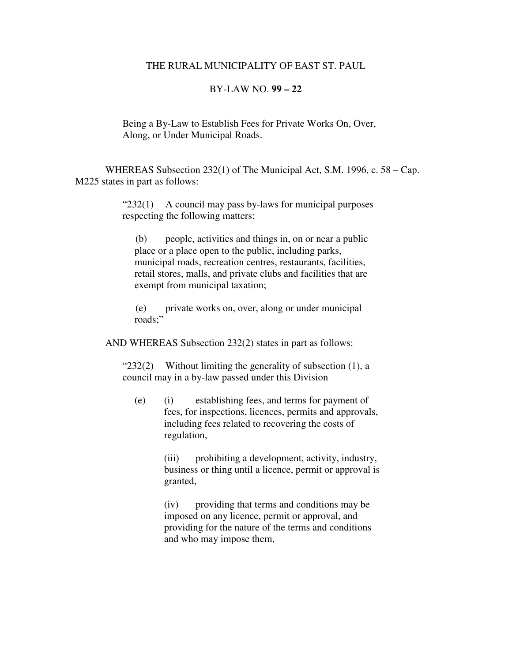## THE RURAL MUNICIPALITY OF EAST ST. PAUL

#### BY-LAW NO. **99 – 22**

Being a By-Law to Establish Fees for Private Works On, Over, Along, or Under Municipal Roads.

 WHEREAS Subsection 232(1) of The Municipal Act, S.M. 1996, c. 58 – Cap. M225 states in part as follows:

> " $232(1)$  A council may pass by-laws for municipal purposes respecting the following matters:

(b) people, activities and things in, on or near a public place or a place open to the public, including parks, municipal roads, recreation centres, restaurants, facilities, retail stores, malls, and private clubs and facilities that are exempt from municipal taxation;

(e) private works on, over, along or under municipal roads;"

AND WHEREAS Subsection 232(2) states in part as follows:

" $232(2)$  Without limiting the generality of subsection  $(1)$ , a council may in a by-law passed under this Division

(e) (i) establishing fees, and terms for payment of fees, for inspections, licences, permits and approvals, including fees related to recovering the costs of regulation,

> (iii) prohibiting a development, activity, industry, business or thing until a licence, permit or approval is granted,

 (iv) providing that terms and conditions may be imposed on any licence, permit or approval, and providing for the nature of the terms and conditions and who may impose them,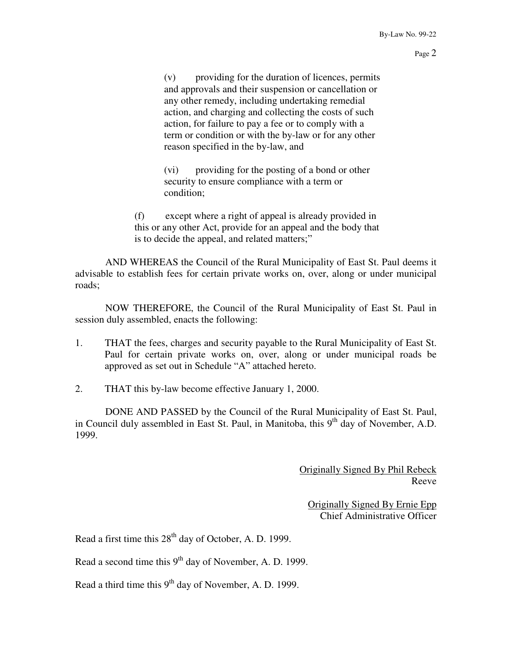(v) providing for the duration of licences, permits and approvals and their suspension or cancellation or any other remedy, including undertaking remedial action, and charging and collecting the costs of such action, for failure to pay a fee or to comply with a term or condition or with the by-law or for any other reason specified in the by-law, and

(vi) providing for the posting of a bond or other security to ensure compliance with a term or condition;

 (f) except where a right of appeal is already provided in this or any other Act, provide for an appeal and the body that is to decide the appeal, and related matters;"

 AND WHEREAS the Council of the Rural Municipality of East St. Paul deems it advisable to establish fees for certain private works on, over, along or under municipal roads;

 NOW THEREFORE, the Council of the Rural Municipality of East St. Paul in session duly assembled, enacts the following:

- 1. THAT the fees, charges and security payable to the Rural Municipality of East St. Paul for certain private works on, over, along or under municipal roads be approved as set out in Schedule "A" attached hereto.
- 2. THAT this by-law become effective January 1, 2000.

 DONE AND PASSED by the Council of the Rural Municipality of East St. Paul, in Council duly assembled in East St. Paul, in Manitoba, this  $9<sup>th</sup>$  day of November, A.D. 1999.

> Originally Signed By Phil Rebeck Reeve

Originally Signed By Ernie Epp Chief Administrative Officer

Read a first time this  $28<sup>th</sup>$  day of October, A. D. 1999.

Read a second time this  $9<sup>th</sup>$  day of November, A. D. 1999.

Read a third time this  $9<sup>th</sup>$  day of November, A. D. 1999.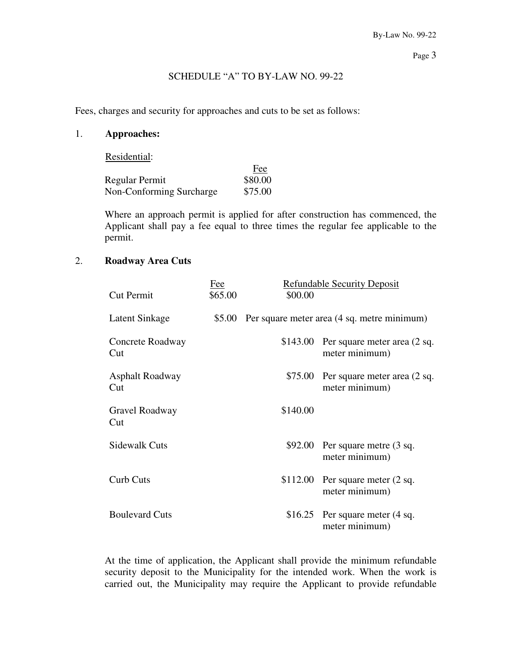# SCHEDULE "A" TO BY-LAW NO. 99-22

Fees, charges and security for approaches and cuts to be set as follows:

## 1. **Approaches:**

Residential:

|                          | Fee     |
|--------------------------|---------|
| Regular Permit           | \$80.00 |
| Non-Conforming Surcharge | \$75.00 |

 Where an approach permit is applied for after construction has commenced, the Applicant shall pay a fee equal to three times the regular fee applicable to the permit.

# 2. **Roadway Area Cuts**

| <b>Cut Permit</b>             | <b>Fee</b><br>\$65.00 | \$00.00                                     | <b>Refundable Security Deposit</b>                                 |
|-------------------------------|-----------------------|---------------------------------------------|--------------------------------------------------------------------|
| Latent Sinkage                | \$5.00                | Per square meter area (4 sq. metre minimum) |                                                                    |
| Concrete Roadway<br>Cut       |                       |                                             | \$143.00 Per square meter area $(2 \text{ sq.})$<br>meter minimum) |
| <b>Asphalt Roadway</b><br>Cut |                       |                                             | \$75.00 Per square meter area $(2 \text{ sq.})$<br>meter minimum)  |
| Gravel Roadway<br>Cut         |                       | \$140.00                                    |                                                                    |
| <b>Sidewalk Cuts</b>          |                       |                                             | \$92.00 Per square metre $(3 \text{ sq.})$<br>meter minimum)       |
| Curb Cuts                     |                       |                                             | \$112.00 Per square meter $(2 \text{ sq.})$<br>meter minimum)      |
| <b>Boulevard Cuts</b>         |                       |                                             | \$16.25 Per square meter (4 sq.<br>meter minimum)                  |

At the time of application, the Applicant shall provide the minimum refundable security deposit to the Municipality for the intended work. When the work is carried out, the Municipality may require the Applicant to provide refundable